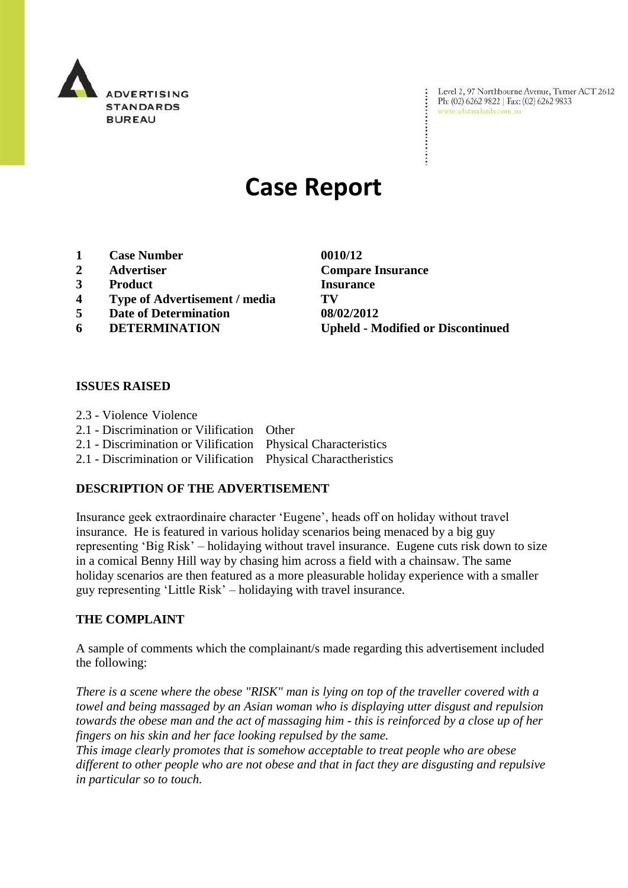

Level 2, 97 Northbourne Avenue, Turner ACT 2612 Ph: (02) 6262 9822 | Fax: (02) 6262 9833 www.adstandards.com.au

# **Case Report**

- **1 Case Number 0010/12**
- 
- **3 Product Insurance**
- **4 Type of Advertisement / media TV**
- **5 Date of Determination 08/02/2012**
- 

**2 Advertiser Compare Insurance 6 DETERMINATION Upheld - Modified or Discontinued**

### **ISSUES RAISED**

- 2.3 Violence Violence
- 2.1 Discrimination or Vilification Other
- 2.1 Discrimination or Vilification Physical Characteristics
- 2.1 Discrimination or Vilification Physical Charactheristics

### **DESCRIPTION OF THE ADVERTISEMENT**

Insurance geek extraordinaire character "Eugene", heads off on holiday without travel insurance. He is featured in various holiday scenarios being menaced by a big guy representing "Big Risk" – holidaying without travel insurance. Eugene cuts risk down to size in a comical Benny Hill way by chasing him across a field with a chainsaw. The same holiday scenarios are then featured as a more pleasurable holiday experience with a smaller guy representing "Little Risk" – holidaying with travel insurance.

## **THE COMPLAINT**

A sample of comments which the complainant/s made regarding this advertisement included the following:

*There is a scene where the obese "RISK" man is lying on top of the traveller covered with a towel and being massaged by an Asian woman who is displaying utter disgust and repulsion towards the obese man and the act of massaging him - this is reinforced by a close up of her fingers on his skin and her face looking repulsed by the same.*

*This image clearly promotes that is somehow acceptable to treat people who are obese different to other people who are not obese and that in fact they are disgusting and repulsive in particular so to touch.*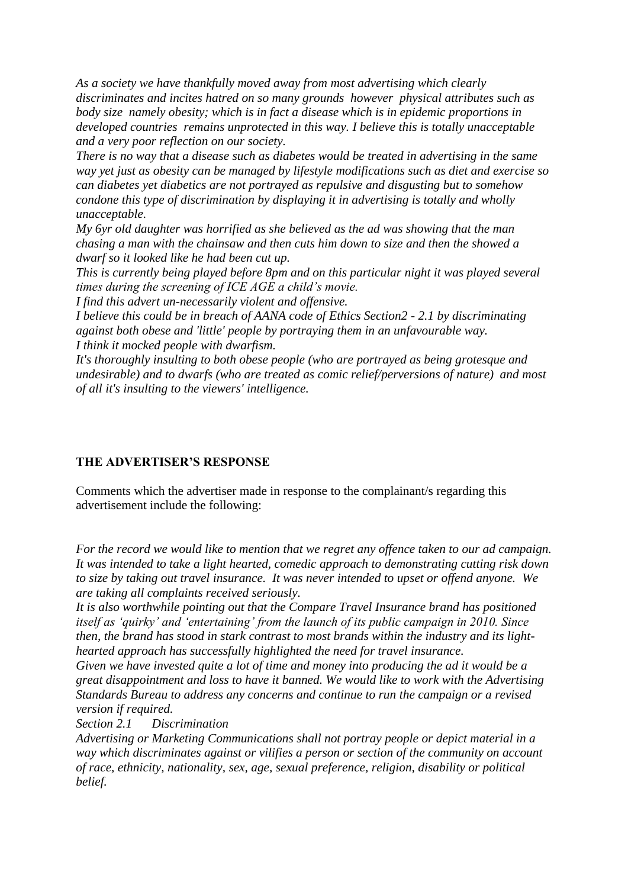*As a society we have thankfully moved away from most advertising which clearly discriminates and incites hatred on so many grounds however physical attributes such as body size namely obesity; which is in fact a disease which is in epidemic proportions in developed countries remains unprotected in this way. I believe this is totally unacceptable and a very poor reflection on our society.*

*There is no way that a disease such as diabetes would be treated in advertising in the same way yet just as obesity can be managed by lifestyle modifications such as diet and exercise so can diabetes yet diabetics are not portrayed as repulsive and disgusting but to somehow condone this type of discrimination by displaying it in advertising is totally and wholly unacceptable.*

*My 6yr old daughter was horrified as she believed as the ad was showing that the man chasing a man with the chainsaw and then cuts him down to size and then the showed a dwarf so it looked like he had been cut up.*

*This is currently being played before 8pm and on this particular night it was played several times during the screening of ICE AGE a child's movie.*

*I find this advert un-necessarily violent and offensive.*

*I believe this could be in breach of AANA code of Ethics Section2 - 2.1 by discriminating against both obese and 'little' people by portraying them in an unfavourable way. I think it mocked people with dwarfism.*

*It's thoroughly insulting to both obese people (who are portrayed as being grotesque and undesirable) and to dwarfs (who are treated as comic relief/perversions of nature) and most of all it's insulting to the viewers' intelligence.*

# **THE ADVERTISER'S RESPONSE**

Comments which the advertiser made in response to the complainant/s regarding this advertisement include the following:

*For the record we would like to mention that we regret any offence taken to our ad campaign. It was intended to take a light hearted, comedic approach to demonstrating cutting risk down to size by taking out travel insurance. It was never intended to upset or offend anyone. We are taking all complaints received seriously.*

*It is also worthwhile pointing out that the Compare Travel Insurance brand has positioned itself as 'quirky' and 'entertaining' from the launch of its public campaign in 2010. Since then, the brand has stood in stark contrast to most brands within the industry and its lighthearted approach has successfully highlighted the need for travel insurance.*

*Given we have invested quite a lot of time and money into producing the ad it would be a great disappointment and loss to have it banned. We would like to work with the Advertising Standards Bureau to address any concerns and continue to run the campaign or a revised version if required.*

*Section 2.1 Discrimination*

*Advertising or Marketing Communications shall not portray people or depict material in a way which discriminates against or vilifies a person or section of the community on account of race, ethnicity, nationality, sex, age, sexual preference, religion, disability or political belief.*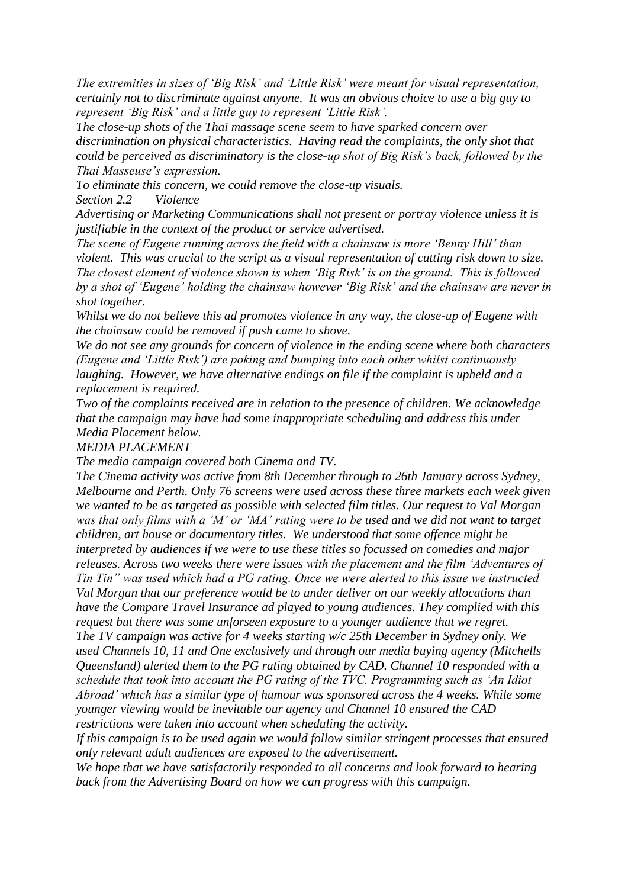*The extremities in sizes of 'Big Risk' and 'Little Risk' were meant for visual representation, certainly not to discriminate against anyone. It was an obvious choice to use a big guy to represent 'Big Risk' and a little guy to represent 'Little Risk'.*

*The close-up shots of the Thai massage scene seem to have sparked concern over discrimination on physical characteristics. Having read the complaints, the only shot that could be perceived as discriminatory is the close-up shot of Big Risk's back, followed by the Thai Masseuse's expression.*

*To eliminate this concern, we could remove the close-up visuals.*

*Section 2.2 Violence*

*Advertising or Marketing Communications shall not present or portray violence unless it is justifiable in the context of the product or service advertised.*

*The scene of Eugene running across the field with a chainsaw is more 'Benny Hill' than violent. This was crucial to the script as a visual representation of cutting risk down to size. The closest element of violence shown is when 'Big Risk' is on the ground. This is followed by a shot of 'Eugene' holding the chainsaw however 'Big Risk' and the chainsaw are never in shot together.*

*Whilst we do not believe this ad promotes violence in any way, the close-up of Eugene with the chainsaw could be removed if push came to shove.*

*We do not see any grounds for concern of violence in the ending scene where both characters (Eugene and 'Little Risk') are poking and bumping into each other whilst continuously laughing. However, we have alternative endings on file if the complaint is upheld and a replacement is required.*

*Two of the complaints received are in relation to the presence of children. We acknowledge that the campaign may have had some inappropriate scheduling and address this under Media Placement below.*

#### *MEDIA PLACEMENT*

*The media campaign covered both Cinema and TV.* 

*The Cinema activity was active from 8th December through to 26th January across Sydney, Melbourne and Perth. Only 76 screens were used across these three markets each week given we wanted to be as targeted as possible with selected film titles. Our request to Val Morgan was that only films with a 'M' or 'MA' rating were to be used and we did not want to target children, art house or documentary titles. We understood that some offence might be interpreted by audiences if we were to use these titles so focussed on comedies and major releases. Across two weeks there were issues with the placement and the film 'Adventures of Tin Tin" was used which had a PG rating. Once we were alerted to this issue we instructed Val Morgan that our preference would be to under deliver on our weekly allocations than have the Compare Travel Insurance ad played to young audiences. They complied with this request but there was some unforseen exposure to a younger audience that we regret. The TV campaign was active for 4 weeks starting w/c 25th December in Sydney only. We* 

*used Channels 10, 11 and One exclusively and through our media buying agency (Mitchells Queensland) alerted them to the PG rating obtained by CAD. Channel 10 responded with a schedule that took into account the PG rating of the TVC. Programming such as 'An Idiot Abroad' which has a similar type of humour was sponsored across the 4 weeks. While some younger viewing would be inevitable our agency and Channel 10 ensured the CAD restrictions were taken into account when scheduling the activity.* 

*If this campaign is to be used again we would follow similar stringent processes that ensured only relevant adult audiences are exposed to the advertisement.*

*We hope that we have satisfactorily responded to all concerns and look forward to hearing back from the Advertising Board on how we can progress with this campaign.*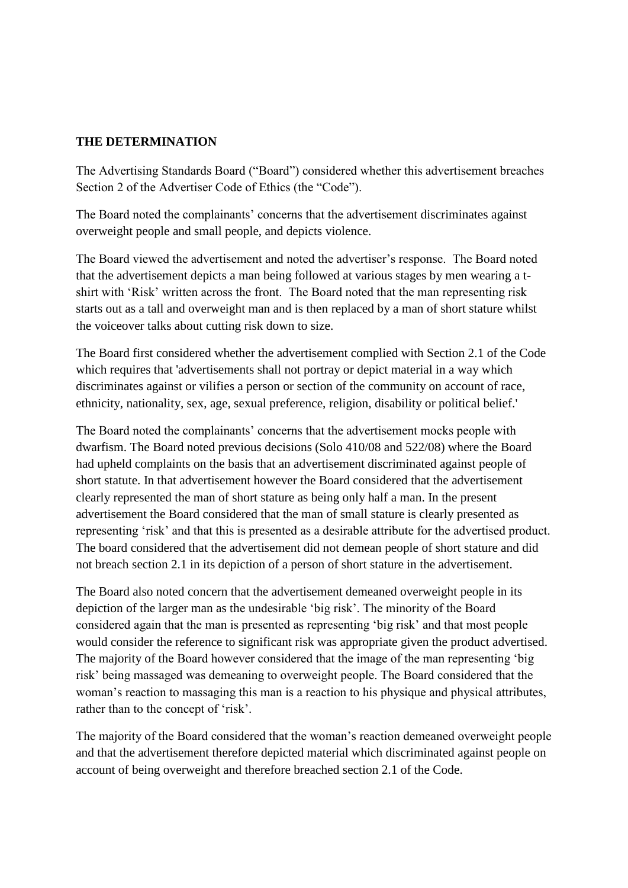# **THE DETERMINATION**

The Advertising Standards Board ("Board") considered whether this advertisement breaches Section 2 of the Advertiser Code of Ethics (the "Code").

The Board noted the complainants" concerns that the advertisement discriminates against overweight people and small people, and depicts violence.

The Board viewed the advertisement and noted the advertiser"s response. The Board noted that the advertisement depicts a man being followed at various stages by men wearing a tshirt with "Risk" written across the front. The Board noted that the man representing risk starts out as a tall and overweight man and is then replaced by a man of short stature whilst the voiceover talks about cutting risk down to size.

The Board first considered whether the advertisement complied with Section 2.1 of the Code which requires that 'advertisements shall not portray or depict material in a way which discriminates against or vilifies a person or section of the community on account of race, ethnicity, nationality, sex, age, sexual preference, religion, disability or political belief.'

The Board noted the complainants' concerns that the advertisement mocks people with dwarfism. The Board noted previous decisions (Solo 410/08 and 522/08) where the Board had upheld complaints on the basis that an advertisement discriminated against people of short statute. In that advertisement however the Board considered that the advertisement clearly represented the man of short stature as being only half a man. In the present advertisement the Board considered that the man of small stature is clearly presented as representing "risk" and that this is presented as a desirable attribute for the advertised product. The board considered that the advertisement did not demean people of short stature and did not breach section 2.1 in its depiction of a person of short stature in the advertisement.

The Board also noted concern that the advertisement demeaned overweight people in its depiction of the larger man as the undesirable "big risk". The minority of the Board considered again that the man is presented as representing "big risk" and that most people would consider the reference to significant risk was appropriate given the product advertised. The majority of the Board however considered that the image of the man representing "big risk" being massaged was demeaning to overweight people. The Board considered that the woman"s reaction to massaging this man is a reaction to his physique and physical attributes, rather than to the concept of 'risk'.

The majority of the Board considered that the woman"s reaction demeaned overweight people and that the advertisement therefore depicted material which discriminated against people on account of being overweight and therefore breached section 2.1 of the Code.